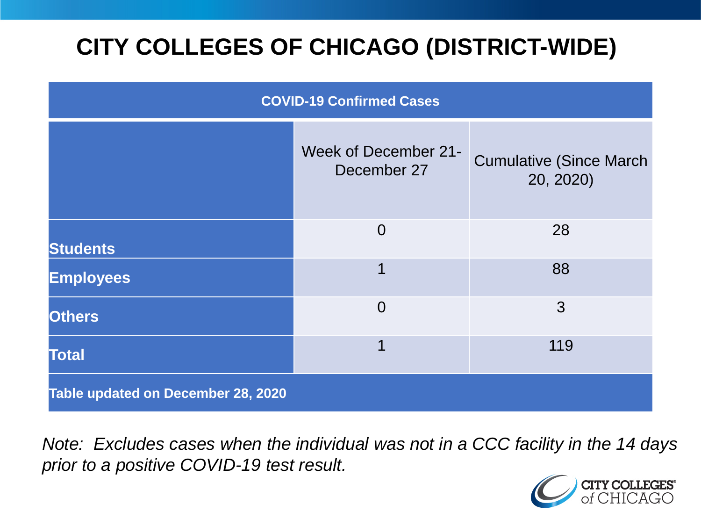# **CITY COLLEGES OF CHICAGO (DISTRICT-WIDE)**

| <b>COVID-19 Confirmed Cases</b>    |                                            |                                              |
|------------------------------------|--------------------------------------------|----------------------------------------------|
|                                    | <b>Week of December 21-</b><br>December 27 | <b>Cumulative (Since March)</b><br>20, 2020) |
| <b>Students</b>                    | $\overline{0}$                             | 28                                           |
| <b>Employees</b>                   | 1                                          | 88                                           |
| <b>Others</b>                      | $\overline{0}$                             | 3                                            |
| <b>Total</b>                       | 1                                          | 119                                          |
| Table updated on December 28, 2020 |                                            |                                              |

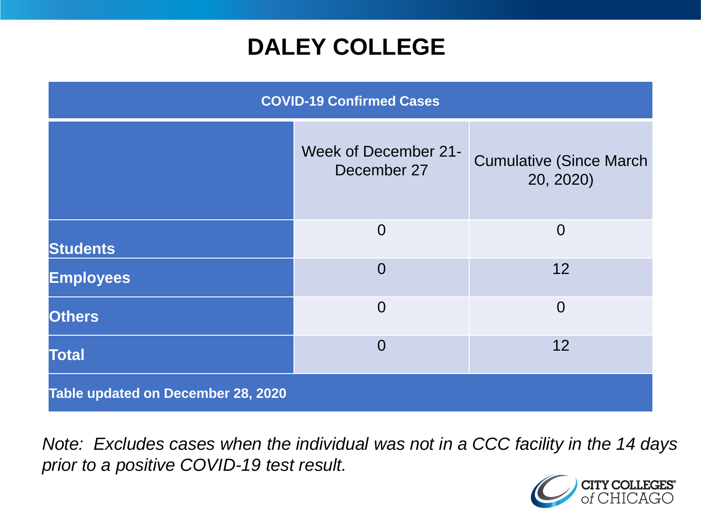## **DALEY COLLEGE**

| <b>COVID-19 Confirmed Cases</b>    |                                            |                                             |
|------------------------------------|--------------------------------------------|---------------------------------------------|
|                                    | <b>Week of December 21-</b><br>December 27 | <b>Cumulative (Since March</b><br>20, 2020) |
| <b>Students</b>                    | $\Omega$                                   | $\overline{0}$                              |
| <b>Employees</b>                   | $\overline{0}$                             | 12                                          |
| <b>Others</b>                      | $\overline{0}$                             | $\overline{0}$                              |
| <b>Total</b>                       | $\overline{0}$                             | 12                                          |
| Table updated on December 28, 2020 |                                            |                                             |

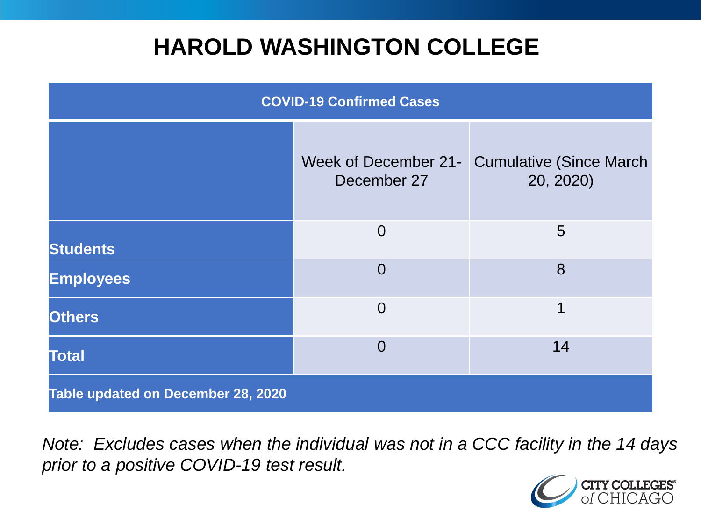## **HAROLD WASHINGTON COLLEGE**

| <b>COVID-19 Confirmed Cases</b>    |                                            |                                              |
|------------------------------------|--------------------------------------------|----------------------------------------------|
|                                    | <b>Week of December 21-</b><br>December 27 | <b>Cumulative (Since March)</b><br>20, 2020) |
| <b>Students</b>                    | $\overline{0}$                             | 5                                            |
| <b>Employees</b>                   | $\Omega$                                   | 8                                            |
| <b>Others</b>                      | $\overline{0}$                             | 1                                            |
| <b>Total</b>                       | $\Omega$                                   | 14                                           |
| Table updated on December 28, 2020 |                                            |                                              |

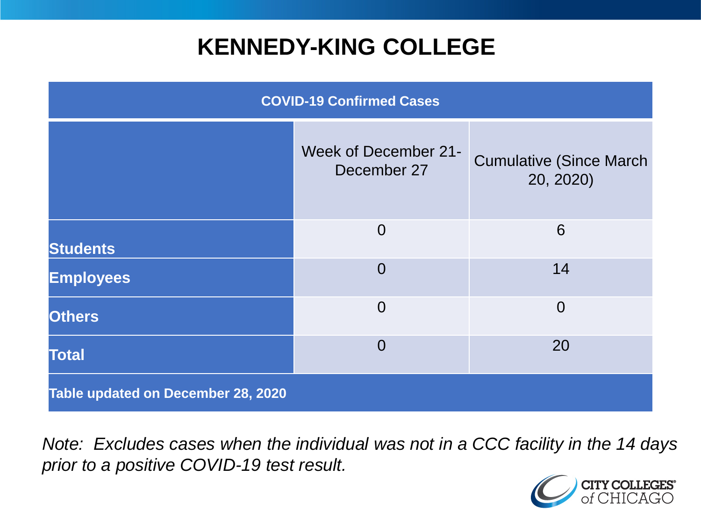## **KENNEDY-KING COLLEGE**

| <b>COVID-19 Confirmed Cases</b>    |                                            |                                              |
|------------------------------------|--------------------------------------------|----------------------------------------------|
|                                    | <b>Week of December 21-</b><br>December 27 | <b>Cumulative (Since March)</b><br>20, 2020) |
| <b>Students</b>                    | $\overline{0}$                             | 6                                            |
| <b>Employees</b>                   | $\Omega$                                   | 14                                           |
| <b>Others</b>                      | $\overline{0}$                             | $\overline{0}$                               |
| <b>Total</b>                       | $\overline{0}$                             | 20                                           |
| Table updated on December 28, 2020 |                                            |                                              |

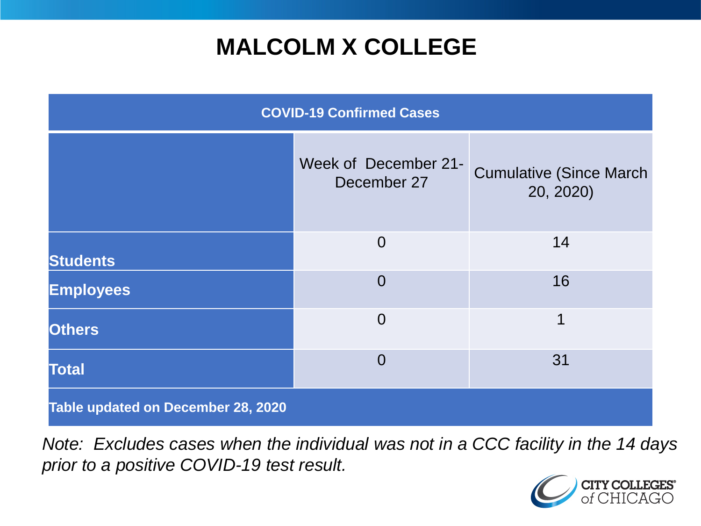## **MALCOLM X COLLEGE**

| <b>COVID-19 Confirmed Cases</b>    |                                     |                                              |
|------------------------------------|-------------------------------------|----------------------------------------------|
|                                    | Week of December 21-<br>December 27 | <b>Cumulative (Since March)</b><br>20, 2020) |
| <b>Students</b>                    | $\overline{0}$                      | 14                                           |
| <b>Employees</b>                   | $\Omega$                            | 16                                           |
| <b>Others</b>                      | $\overline{0}$                      | 1                                            |
| <b>Total</b>                       | $\Omega$                            | 31                                           |
| Table updated on December 28, 2020 |                                     |                                              |

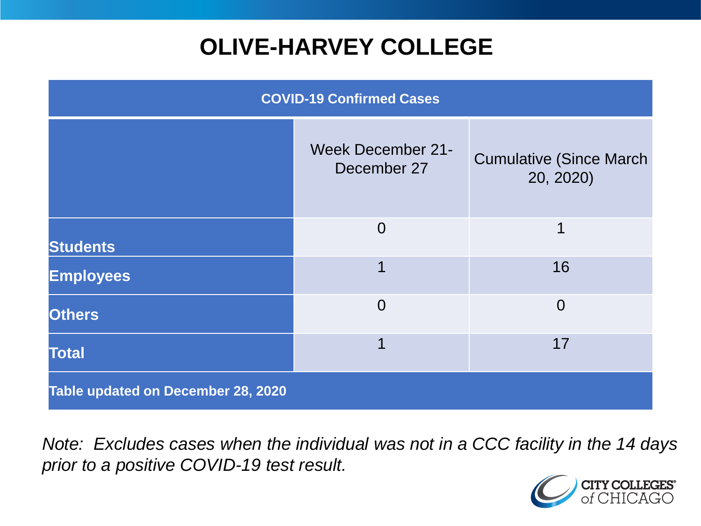# **OLIVE-HARVEY COLLEGE**

| <b>COVID-19 Confirmed Cases</b>    |                                         |                                              |
|------------------------------------|-----------------------------------------|----------------------------------------------|
|                                    | <b>Week December 21-</b><br>December 27 | <b>Cumulative (Since March)</b><br>20, 2020) |
| <b>Students</b>                    | $\overline{0}$                          | 1                                            |
| <b>Employees</b>                   |                                         | 16                                           |
| <b>Others</b>                      | $\overline{0}$                          | $\overline{0}$                               |
| <b>Total</b>                       |                                         | 17                                           |
| Table updated on December 28, 2020 |                                         |                                              |

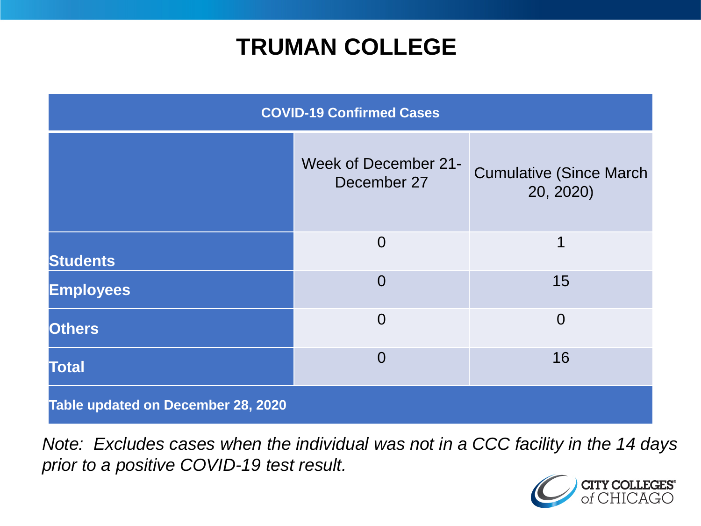## **TRUMAN COLLEGE**

| <b>COVID-19 Confirmed Cases</b>    |                                            |                                              |
|------------------------------------|--------------------------------------------|----------------------------------------------|
|                                    | <b>Week of December 21-</b><br>December 27 | <b>Cumulative (Since March)</b><br>20, 2020) |
| <b>Students</b>                    | $\overline{0}$                             | 1                                            |
| <b>Employees</b>                   | $\overline{0}$                             | 15                                           |
| <b>Others</b>                      | $\overline{0}$                             | $\overline{0}$                               |
| <b>Total</b>                       | $\overline{0}$                             | 16                                           |
| Table updated on December 28, 2020 |                                            |                                              |

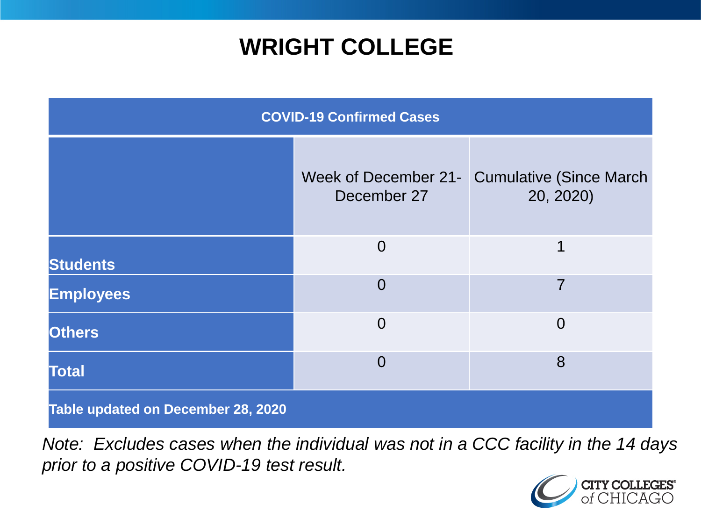## **WRIGHT COLLEGE**

| <b>COVID-19 Confirmed Cases</b>    |                |                                                           |
|------------------------------------|----------------|-----------------------------------------------------------|
|                                    | December 27    | Week of December 21- Cumulative (Since March<br>20, 2020) |
| <b>Students</b>                    | $\overline{0}$ | 1                                                         |
| <b>Employees</b>                   | $\overline{0}$ | 7                                                         |
| <b>Others</b>                      | $\overline{0}$ | $\overline{0}$                                            |
| <b>Total</b>                       | $\overline{0}$ | 8                                                         |
| Table updated on December 28, 2020 |                |                                                           |